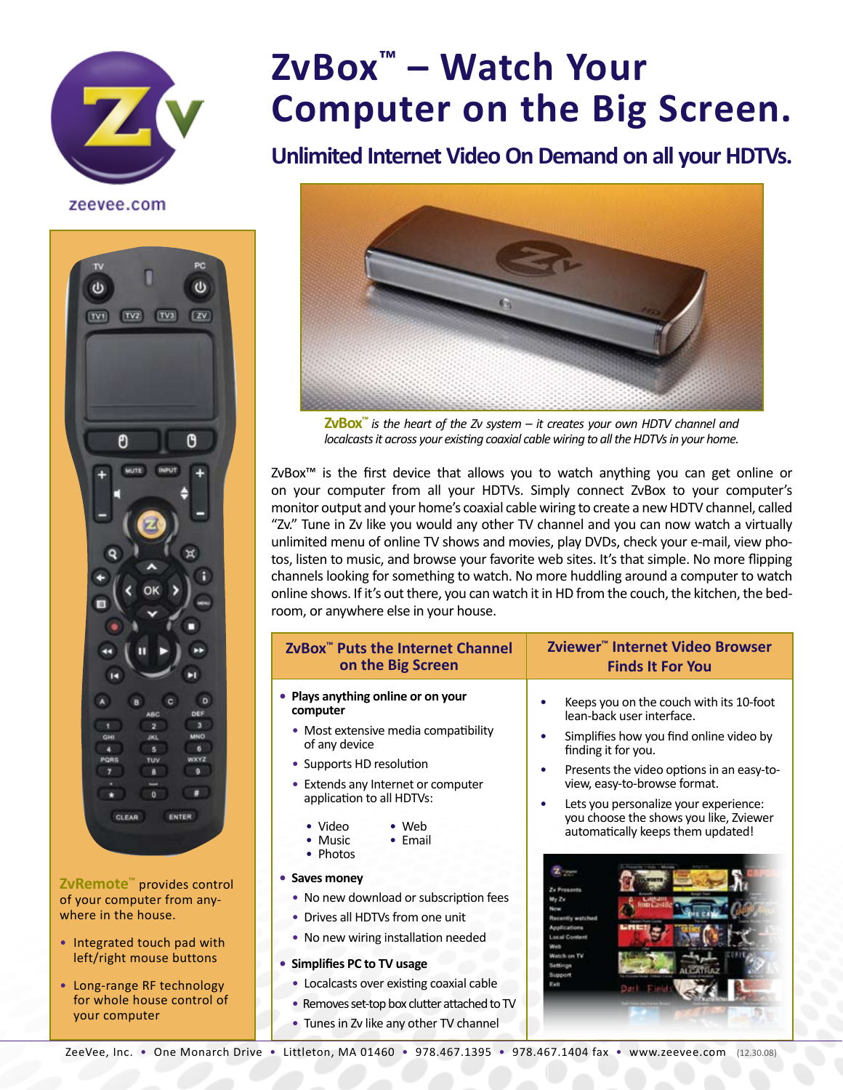

**ZvBox™ – Watch Your Computer on the Big Screen.**

## **Unlimited Internet Video On Demand on all your HDTVs.**

zeevee.com



**ZvRemote™** provides control of your computer from anywhere in the house.

- Integrated touch pad with left/right mouse buttons
- Long-range RF technology for whole house control of your computer



**ZvBox™** *is the heart of the Zv system – it creates your own HDTV channel and localcasts it across your existing coaxial cable wiring to all the HDTVs in your home.*

ZvBox™ is the first device that allows you to watch anything you can get online or on your computer from all your HDTVs. Simply connect ZvBox to your computer's monitor output and your home's coaxial cable wiring to create a new HDTV channel, called "Zv." Tune in Zv like you would any other TV channel and you can now watch a virtually unlimited menu of online TV shows and movies, play DVDs, check your e-mail, view photos, listen to music, and browse your favorite web sites. It's that simple. No more flipping channels looking for something to watch. No more huddling around a computer to watch online shows. If it's out there, you can watch it in HD from the couch, the kitchen, the bedroom, or anywhere else in your house.

| ZvBox <sup>™</sup> Puts the Internet Channel                                                                                                                                                                                                                                                                                                                                                                                                                                                                                                                      | Zviewer <sup>™</sup> Internet Video Browser                                                                                                                                                                                                                                                                                                                                                                                                                                          |
|-------------------------------------------------------------------------------------------------------------------------------------------------------------------------------------------------------------------------------------------------------------------------------------------------------------------------------------------------------------------------------------------------------------------------------------------------------------------------------------------------------------------------------------------------------------------|--------------------------------------------------------------------------------------------------------------------------------------------------------------------------------------------------------------------------------------------------------------------------------------------------------------------------------------------------------------------------------------------------------------------------------------------------------------------------------------|
| on the Big Screen                                                                                                                                                                                                                                                                                                                                                                                                                                                                                                                                                 | <b>Finds It For You</b>                                                                                                                                                                                                                                                                                                                                                                                                                                                              |
| • Plays anything online or on your<br>computer<br>• Most extensive media compatibility<br>of any device<br>• Supports HD resolution<br>Extends any Internet or computer<br>application to all HDTVs:<br>• Video<br>Web<br>• Email<br>• Music<br>• Photos<br>• Saves money<br>No new download or subscription fees<br>۰<br>Drives all HDTVs from one unit<br>No new wiring installation needed<br>• Simplifies PC to TV usage<br>• Localcasts over existing coaxial cable<br>Removes set-top box clutter attached to TV<br>• Tunes in Zv like any other TV channel | Keeps you on the couch with its 10-foot<br>lean-back user interface.<br>Simplifies how you find online video by<br>finding it for you.<br>Presents the video options in an easy-to-<br>view, easy-to-browse format.<br>Lets you personalize your experience:<br>you choose the shows you like, Zviewer<br>automatically keeps them updated!<br>Zv Prosants<br>My Zv<br>Recently watched<br>Applications<br><b>Local Content</b><br>Watch on TV<br>Settings<br><b>Bupport</b><br>Ealt |